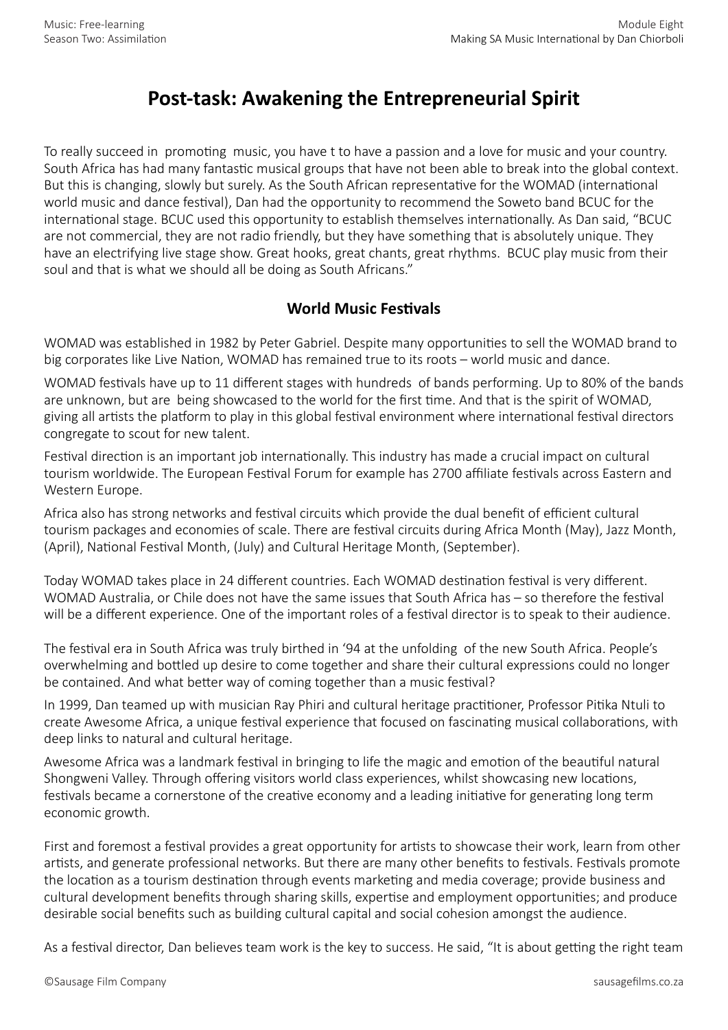## **Post-task: Awakening the Entrepreneurial Spirit**

To really succeed in promoting music, you have t to have a passion and a love for music and your country. South Africa has had many fantastic musical groups that have not been able to break into the global context. But this is changing, slowly but surely. As the South African representative for the WOMAD (international world music and dance festival), Dan had the opportunity to recommend the Soweto band BCUC for the international stage. BCUC used this opportunity to establish themselves internationally. As Dan said, "BCUC are not commercial, they are not radio friendly, but they have something that is absolutely unique. They have an electrifying live stage show. Great hooks, great chants, great rhythms. BCUC play music from their soul and that is what we should all be doing as South Africans."

## **World Music Festivals**

WOMAD was established in 1982 by Peter Gabriel. Despite many opportunities to sell the WOMAD brand to big corporates like Live Nation, WOMAD has remained true to its roots – world music and dance.

WOMAD festivals have up to 11 different stages with hundreds of bands performing. Up to 80% of the bands are unknown, but are being showcased to the world for the first time. And that is the spirit of WOMAD, giving all artists the platform to play in this global festival environment where international festival directors congregate to scout for new talent.

Festival direction is an important job internationally. This industry has made a crucial impact on cultural tourism worldwide. The European Festival Forum for example has 2700 affiliate festivals across Eastern and Western Europe.

Africa also has strong networks and festival circuits which provide the dual benefit of efficient cultural tourism packages and economies of scale. There are festival circuits during Africa Month (May), Jazz Month, (April), National Festival Month, (July) and Cultural Heritage Month, (September).

Today WOMAD takes place in 24 different countries. Each WOMAD destination festival is very different. WOMAD Australia, or Chile does not have the same issues that South Africa has – so therefore the festival will be a different experience. One of the important roles of a festival director is to speak to their audience.

The festival era in South Africa was truly birthed in '94 at the unfolding of the new South Africa. People's overwhelming and bottled up desire to come together and share their cultural expressions could no longer be contained. And what better way of coming together than a music festival?

In 1999, Dan teamed up with musician Ray Phiri and cultural heritage practitioner, Professor Pitika Ntuli to create Awesome Africa, a unique festival experience that focused on fascinating musical collaborations, with deep links to natural and cultural heritage.

Awesome Africa was a landmark festival in bringing to life the magic and emotion of the beautiful natural Shongweni Valley. Through offering visitors world class experiences, whilst showcasing new locations, festivals became a cornerstone of the creative economy and a leading initiative for generating long term economic growth.

First and foremost a festival provides a great opportunity for artists to showcase their work, learn from other artists, and generate professional networks. But there are many other benefits to festivals. Festivals promote the location as a tourism destination through events marketing and media coverage; provide business and cultural development benefits through sharing skills, expertise and employment opportunities; and produce desirable social benefits such as building cultural capital and social cohesion amongst the audience.

As a festival director, Dan believes team work is the key to success. He said, "It is about getting the right team